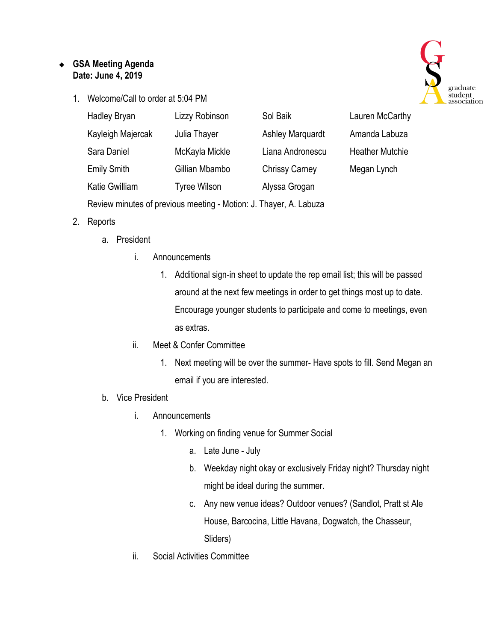## ❖ **GSA Meeting Agenda Date: June 4, 2019**

1. Welcome/Call to order at 5:04 PM



| <b>Hadley Bryan</b>                                               | Lizzy Robinson      | Sol Baik                | Lauren McCarthy        |
|-------------------------------------------------------------------|---------------------|-------------------------|------------------------|
| Kayleigh Majercak                                                 | Julia Thayer        | <b>Ashley Marquardt</b> | Amanda Labuza          |
| Sara Daniel                                                       | McKayla Mickle      | Liana Andronescu        | <b>Heather Mutchie</b> |
| <b>Emily Smith</b>                                                | Gillian Mbambo      | <b>Chrissy Carney</b>   | Megan Lynch            |
| <b>Katie Gwilliam</b>                                             | <b>Tyree Wilson</b> | Alyssa Grogan           |                        |
| Review minutes of previous meeting - Motion: J. Thayer, A. Labuza |                     |                         |                        |

- 2. Reports
	- a. President
		- i. Announcements
			- 1. Additional sign-in sheet to update the rep email list; this will be passed around at the next few meetings in order to get things most up to date. Encourage younger students to participate and come to meetings, even as extras.
		- ii. Meet & Confer Committee
			- 1. Next meeting will be over the summer- Have spots to fill. Send Megan an email if you are interested.
	- b. Vice President
		- i. Announcements
			- 1. Working on finding venue for Summer Social
				- a. Late June July
				- b. Weekday night okay or exclusively Friday night? Thursday night might be ideal during the summer.
				- c. Any new venue ideas? Outdoor venues? (Sandlot, Pratt st Ale House, Barcocina, Little Havana, Dogwatch, the Chasseur, Sliders)
		- ii. Social Activities Committee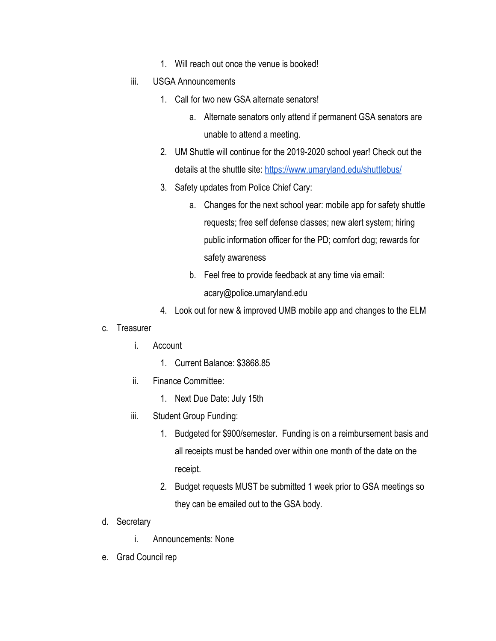- 1. Will reach out once the venue is booked!
- iii. USGA Announcements
	- 1. Call for two new GSA alternate senators!
		- a. Alternate senators only attend if permanent GSA senators are unable to attend a meeting.
	- 2. UM Shuttle will continue for the 2019-2020 school year! Check out the details at the shuttle site:<https://www.umaryland.edu/shuttlebus/>
	- 3. Safety updates from Police Chief Cary:
		- a. Changes for the next school year: mobile app for safety shuttle requests; free self defense classes; new alert system; hiring public information officer for the PD; comfort dog; rewards for safety awareness
		- b. Feel free to provide feedback at any time via email: acary@police.umaryland.edu
	- 4. Look out for new & improved UMB mobile app and changes to the ELM
- c. Treasurer
	- i. Account
		- 1. Current Balance: \$3868.85
	- ii. Finance Committee:
		- 1. Next Due Date: July 15th
	- iii. Student Group Funding:
		- 1. Budgeted for \$900/semester. Funding is on a reimbursement basis and all receipts must be handed over within one month of the date on the receipt.
		- 2. Budget requests MUST be submitted 1 week prior to GSA meetings so they can be emailed out to the GSA body.
- d. Secretary
	- i. Announcements: None
- e. Grad Council rep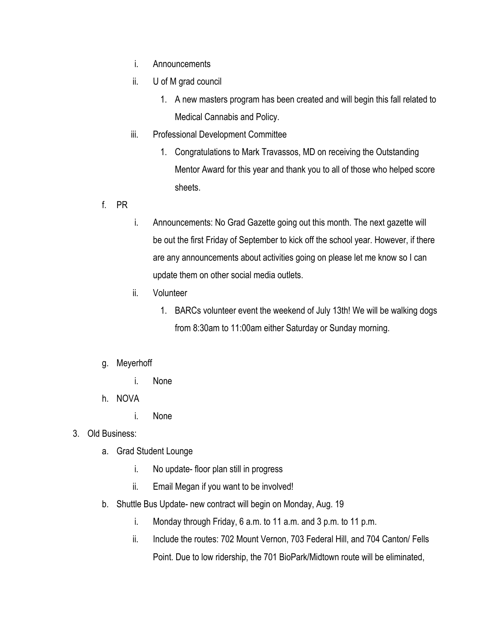- i. Announcements
- ii. U of M grad council
	- 1. A new masters program has been created and will begin this fall related to Medical Cannabis and Policy.
- iii. Professional Development Committee
	- 1. Congratulations to Mark Travassos, MD on receiving the Outstanding Mentor Award for this year and thank you to all of those who helped score sheets.
- f. PR
- i. Announcements: No Grad Gazette going out this month. The next gazette will be out the first Friday of September to kick off the school year. However, if there are any announcements about activities going on please let me know so I can update them on other social media outlets.
- ii. Volunteer
	- 1. BARCs volunteer event the weekend of July 13th! We will be walking dogs from 8:30am to 11:00am either Saturday or Sunday morning.

## g. Meyerhoff

- i. None
- h. NOVA
	- i. None
- 3. Old Business:
	- a. Grad Student Lounge
		- i. No update- floor plan still in progress
		- ii. Email Megan if you want to be involved!
	- b. Shuttle Bus Update- new contract will begin on Monday, Aug. 19
		- i. Monday through Friday, 6 a.m. to 11 a.m. and 3 p.m. to 11 p.m.
		- ii. Include the routes: 702 Mount Vernon, 703 Federal Hill, and 704 Canton/ Fells Point. Due to low ridership, the 701 BioPark/Midtown route will be eliminated,